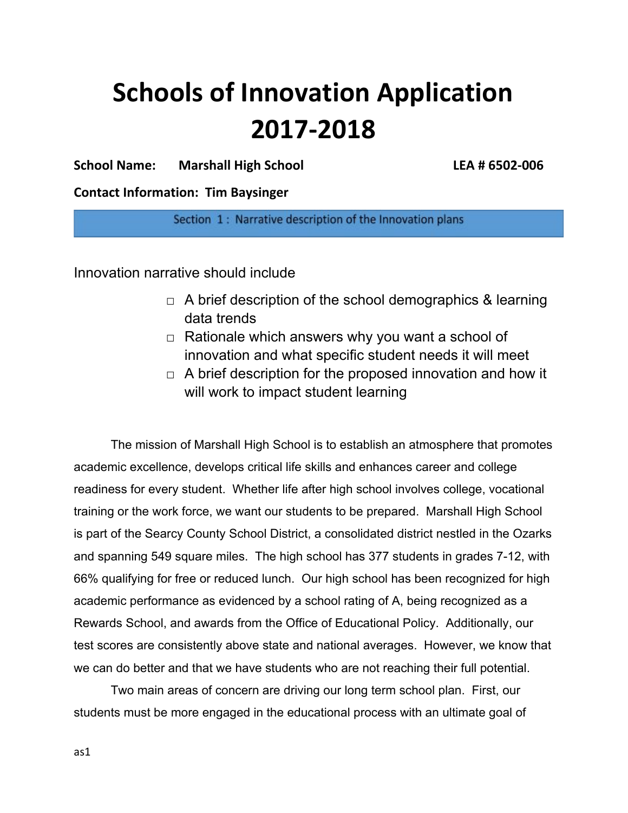# **Schools of Innovation Application 2017-2018**

**School Name: Marshall High School LEA # 6502-006**

**Contact Information: Tim Baysinger**

Section 1: Narrative description of the Innovation plans

Innovation narrative should include

- $\Box$  A brief description of the school demographics & learning data trends
- $\Box$  Rationale which answers why you want a school of innovation and what specific student needs it will meet
- $\Box$  A brief description for the proposed innovation and how it will work to impact student learning

The mission of Marshall High School is to establish an atmosphere that promotes academic excellence, develops critical life skills and enhances career and college readiness for every student. Whether life after high school involves college, vocational training or the work force, we want our students to be prepared. Marshall High School is part of the Searcy County School District, a consolidated district nestled in the Ozarks and spanning 549 square miles. The high school has 377 students in grades 7-12, with 66% qualifying for free or reduced lunch. Our high school has been recognized for high academic performance as evidenced by a school rating of A, being recognized as a Rewards School, and awards from the Office of Educational Policy. Additionally, our test scores are consistently above state and national averages. However, we know that we can do better and that we have students who are not reaching their full potential.

Two main areas of concern are driving our long term school plan. First, our students must be more engaged in the educational process with an ultimate goal of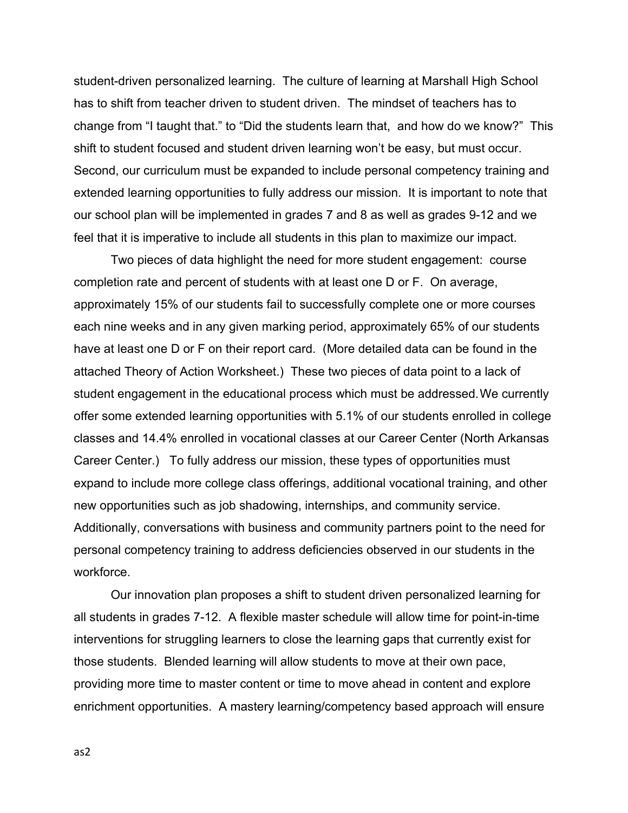student-driven personalized learning. The culture of learning at Marshall High School has to shift from teacher driven to student driven. The mindset of teachers has to change from "I taught that." to "Did the students learn that, and how do we know?" This shift to student focused and student driven learning won't be easy, but must occur. Second, our curriculum must be expanded to include personal competency training and extended learning opportunities to fully address our mission. It is important to note that our school plan will be implemented in grades 7 and 8 as well as grades 9-12 and we feel that it is imperative to include all students in this plan to maximize our impact.

Two pieces of data highlight the need for more student engagement: course completion rate and percent of students with at least one D or F. On average, approximately 15% of our students fail to successfully complete one or more courses each nine weeks and in any given marking period, approximately 65% of our students have at least one D or F on their report card. (More detailed data can be found in the attached Theory of Action Worksheet.) These two pieces of data point to a lack of student engagement in the educational process which must be addressed.We currently offer some extended learning opportunities with 5.1% of our students enrolled in college classes and 14.4% enrolled in vocational classes at our Career Center (North Arkansas Career Center.) To fully address our mission, these types of opportunities must expand to include more college class offerings, additional vocational training, and other new opportunities such as job shadowing, internships, and community service. Additionally, conversations with business and community partners point to the need for personal competency training to address deficiencies observed in our students in the workforce.

Our innovation plan proposes a shift to student driven personalized learning for all students in grades 7-12. A flexible master schedule will allow time for point-in-time interventions for struggling learners to close the learning gaps that currently exist for those students. Blended learning will allow students to move at their own pace, providing more time to master content or time to move ahead in content and explore enrichment opportunities. A mastery learning/competency based approach will ensure

as2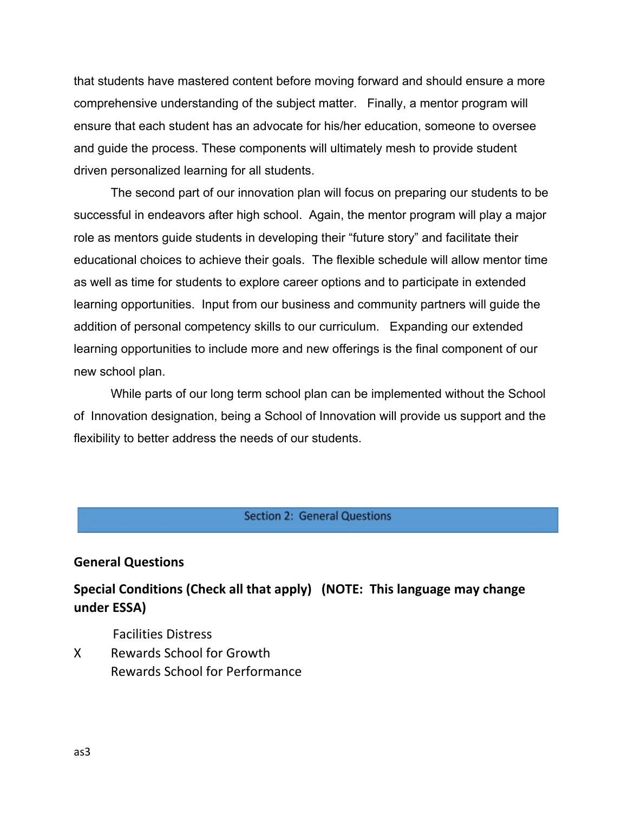that students have mastered content before moving forward and should ensure a more comprehensive understanding of the subject matter. Finally, a mentor program will ensure that each student has an advocate for his/her education, someone to oversee and guide the process. These components will ultimately mesh to provide student driven personalized learning for all students.

The second part of our innovation plan will focus on preparing our students to be successful in endeavors after high school. Again, the mentor program will play a major role as mentors guide students in developing their "future story" and facilitate their educational choices to achieve their goals. The flexible schedule will allow mentor time as well as time for students to explore career options and to participate in extended learning opportunities. Input from our business and community partners will guide the addition of personal competency skills to our curriculum. Expanding our extended learning opportunities to include more and new offerings is the final component of our new school plan.

While parts of our long term school plan can be implemented without the School of Innovation designation, being a School of Innovation will provide us support and the flexibility to better address the needs of our students.

#### **Section 2: General Questions**

#### **General Questions**

# **Special Conditions (Check all that apply) (NOTE: This language may change under ESSA)**

Facilities Distress

X Rewards School for Growth Rewards School for Performance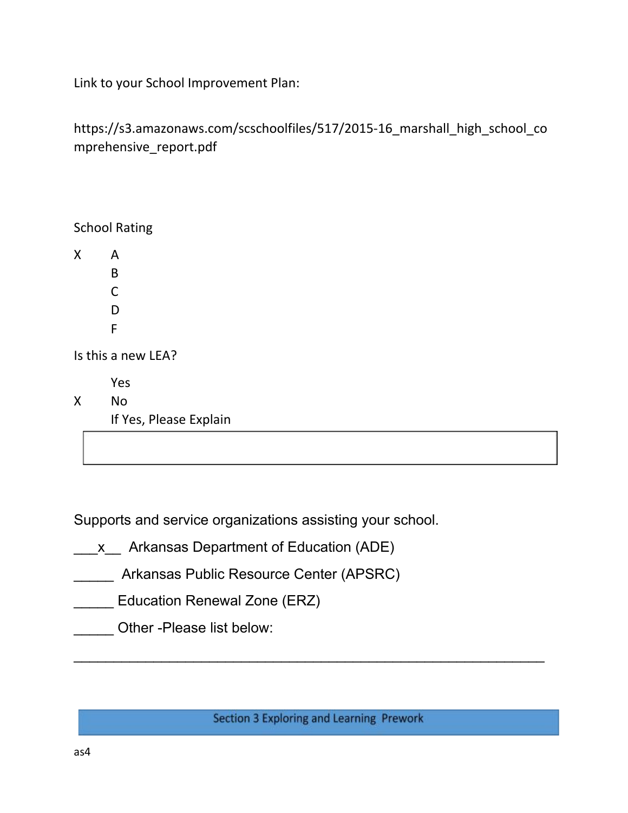Link to your School Improvement Plan:

https://s3.amazonaws.com/scschoolfiles/517/2015-16\_marshall\_high\_school\_co mprehensive\_report.pdf

School Rating X A B C D F Is this a new LEA? Yes X No If Yes, Please Explain

Supports and service organizations assisting your school.

- \_\_\_x\_\_ Arkansas Department of Education (ADE)
- **EXECUTE:** Arkansas Public Resource Center (APSRC)
- **Education Renewal Zone (ERZ)**
- Other -Please list below:

Section 3 Exploring and Learning Prework

 $\overline{\phantom{a}}$  , and the contribution of the contribution of the contribution of the contribution of the contribution of the contribution of the contribution of the contribution of the contribution of the contribution of the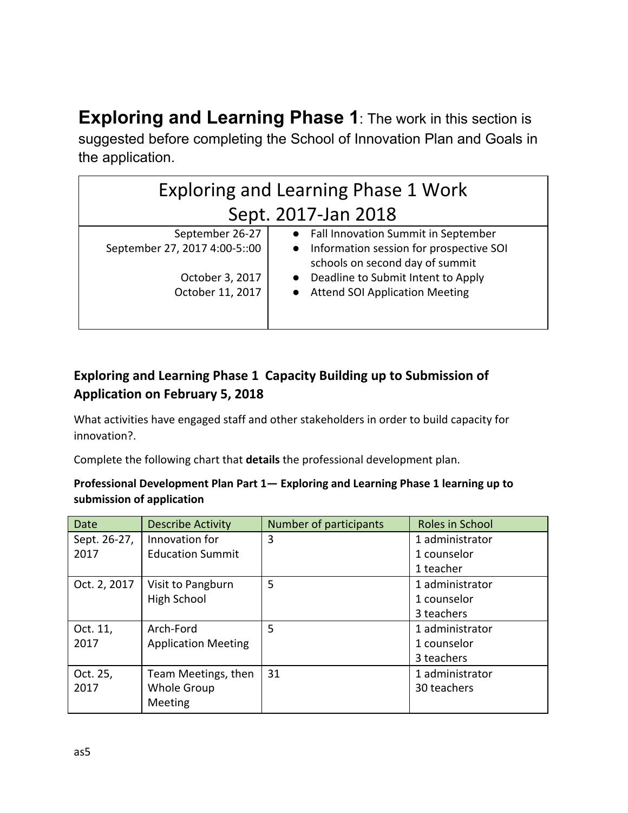**Exploring and Learning Phase 1**: The work in this section is suggested before completing the School of Innovation Plan and Goals in the application.

| <b>Exploring and Learning Phase 1 Work</b>                                              |                                                                                                                                                                                                               |  |  |
|-----------------------------------------------------------------------------------------|---------------------------------------------------------------------------------------------------------------------------------------------------------------------------------------------------------------|--|--|
| Sept. 2017-Jan 2018                                                                     |                                                                                                                                                                                                               |  |  |
| September 26-27<br>September 27, 2017 4:00-5::00<br>October 3, 2017<br>October 11, 2017 | Fall Innovation Summit in September<br>Information session for prospective SOI<br>$\bullet$<br>schools on second day of summit<br>Deadline to Submit Intent to Apply<br><b>Attend SOI Application Meeting</b> |  |  |

# **Exploring and Learning Phase 1 Capacity Building up to Submission of Application on February 5, 2018**

What activities have engaged staff and other stakeholders in order to build capacity for innovation?.

Complete the following chart that **details** the professional development plan.

## **Professional Development Plan Part 1— Exploring and Learning Phase 1 learning up to submission of application**

| Date         | <b>Describe Activity</b>   | Number of participants | Roles in School |
|--------------|----------------------------|------------------------|-----------------|
| Sept. 26-27, | Innovation for             | 3                      | 1 administrator |
| 2017         | <b>Education Summit</b>    |                        | 1 counselor     |
|              |                            |                        | 1 teacher       |
| Oct. 2, 2017 | Visit to Pangburn          | 5                      | 1 administrator |
|              | High School                |                        | 1 counselor     |
|              |                            |                        | 3 teachers      |
| Oct. 11,     | Arch-Ford                  | 5                      | 1 administrator |
| 2017         | <b>Application Meeting</b> |                        | 1 counselor     |
|              |                            |                        | 3 teachers      |
| Oct. 25,     | Team Meetings, then        | 31                     | 1 administrator |
| 2017         | Whole Group                |                        | 30 teachers     |
|              | <b>Meeting</b>             |                        |                 |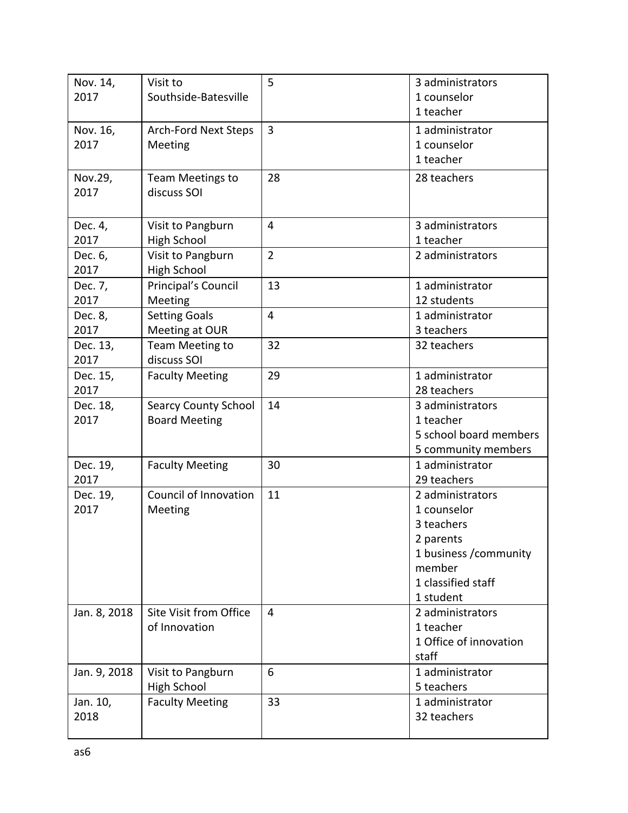| Nov. 14,         | Visit to                     | 5              | 3 administrators               |
|------------------|------------------------------|----------------|--------------------------------|
| 2017             | Southside-Batesville         |                | 1 counselor                    |
|                  |                              |                | 1 teacher                      |
| Nov. 16,         | <b>Arch-Ford Next Steps</b>  | $\overline{3}$ | 1 administrator                |
| 2017             | Meeting                      |                | 1 counselor                    |
|                  |                              |                | 1 teacher                      |
| Nov.29,          | Team Meetings to             | 28             | 28 teachers                    |
| 2017             | discuss SOI                  |                |                                |
|                  |                              |                |                                |
| Dec. 4,          | Visit to Pangburn            | $\overline{4}$ | 3 administrators               |
| 2017             | <b>High School</b>           |                | 1 teacher                      |
| Dec. 6,          | Visit to Pangburn            | $\overline{2}$ | 2 administrators               |
| 2017             | <b>High School</b>           |                |                                |
| Dec. 7,          | Principal's Council          | 13             | 1 administrator                |
| 2017             | Meeting                      |                | 12 students                    |
| Dec. 8,          | <b>Setting Goals</b>         | $\overline{4}$ | 1 administrator                |
| 2017             | Meeting at OUR               |                | 3 teachers                     |
| Dec. 13,         | Team Meeting to              | 32             | 32 teachers                    |
| 2017             | discuss SOI                  |                |                                |
| Dec. 15,         | <b>Faculty Meeting</b>       | 29             | 1 administrator                |
| 2017             |                              |                | 28 teachers                    |
| Dec. 18,         | <b>Searcy County School</b>  | 14             | 3 administrators               |
| 2017             | <b>Board Meeting</b>         |                | 1 teacher                      |
|                  |                              |                | 5 school board members         |
|                  |                              |                | 5 community members            |
| Dec. 19,         | <b>Faculty Meeting</b>       | 30             | 1 administrator                |
| 2017             |                              |                | 29 teachers                    |
| Dec. 19,         | <b>Council of Innovation</b> | 11             | 2 administrators               |
| 2017             | Meeting                      |                | 1 counselor                    |
|                  |                              |                | 3 teachers                     |
|                  |                              |                | 2 parents                      |
|                  |                              |                | 1 business /community          |
|                  |                              |                | member                         |
|                  |                              |                | 1 classified staff             |
|                  |                              |                | 1 student                      |
| Jan. 8, 2018     | Site Visit from Office       | 4              | 2 administrators               |
|                  | of Innovation                |                | 1 teacher                      |
|                  |                              |                | 1 Office of innovation         |
|                  |                              |                | staff                          |
| Jan. 9, 2018     | Visit to Pangburn            | 6              | 1 administrator                |
|                  | High School                  |                | 5 teachers                     |
| Jan. 10,<br>2018 | <b>Faculty Meeting</b>       | 33             | 1 administrator<br>32 teachers |
|                  |                              |                |                                |
|                  |                              |                |                                |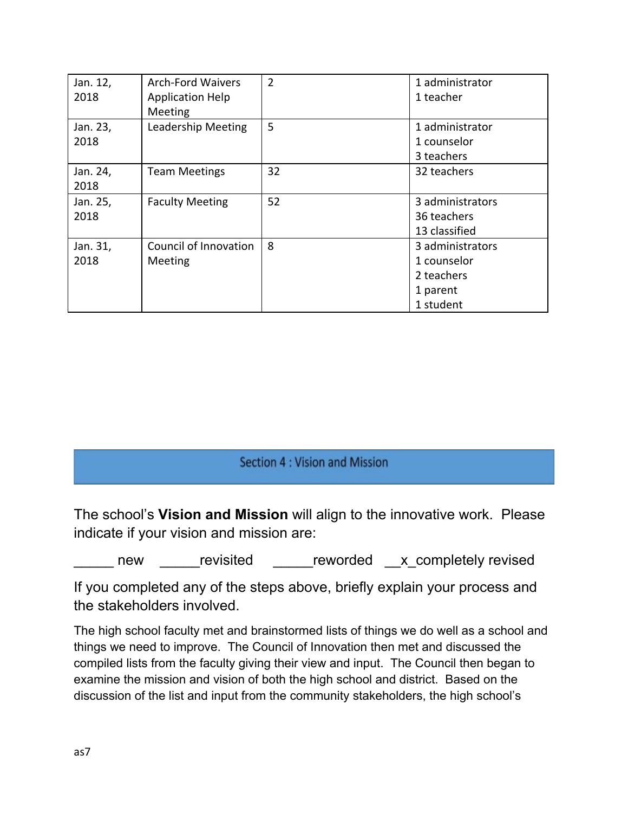| Jan. 12, | <b>Arch-Ford Waivers</b> | $\overline{2}$ | 1 administrator  |
|----------|--------------------------|----------------|------------------|
| 2018     | <b>Application Help</b>  |                | 1 teacher        |
|          | Meeting                  |                |                  |
| Jan. 23, | Leadership Meeting       | 5              | 1 administrator  |
| 2018     |                          |                | 1 counselor      |
|          |                          |                | 3 teachers       |
| Jan. 24, | <b>Team Meetings</b>     | 32             | 32 teachers      |
| 2018     |                          |                |                  |
| Jan. 25, | <b>Faculty Meeting</b>   | 52             | 3 administrators |
| 2018     |                          |                | 36 teachers      |
|          |                          |                | 13 classified    |
| Jan. 31, | Council of Innovation    | 8              | 3 administrators |
| 2018     | Meeting                  |                | 1 counselor      |
|          |                          |                | 2 teachers       |
|          |                          |                | 1 parent         |
|          |                          |                | 1 student        |

## Section 4 : Vision and Mission

The school's **Vision and Mission** will align to the innovative work. Please indicate if your vision and mission are:

\_\_\_\_\_ new \_\_\_\_\_revisited \_\_\_\_\_reworded \_\_x\_completely revised

If you completed any of the steps above, briefly explain your process and the stakeholders involved.

The high school faculty met and brainstormed lists of things we do well as a school and things we need to improve. The Council of Innovation then met and discussed the compiled lists from the faculty giving their view and input. The Council then began to examine the mission and vision of both the high school and district. Based on the discussion of the list and input from the community stakeholders, the high school's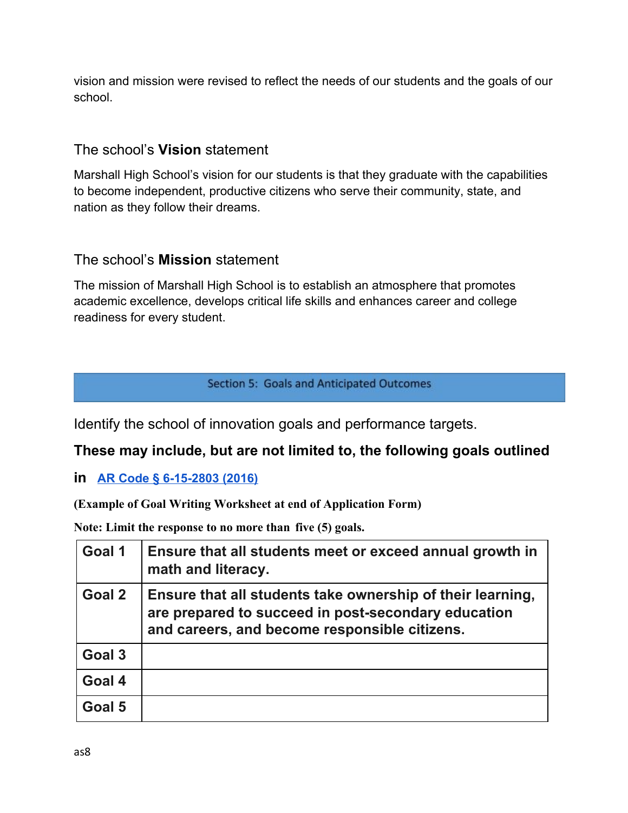vision and mission were revised to reflect the needs of our students and the goals of our school.

# The school's **Vision** statement

Marshall High School's vision for our students is that they graduate with the capabilities to become independent, productive citizens who serve their community, state, and nation as they follow their dreams.

# The school's **Mission** statement

The mission of Marshall High School is to establish an atmosphere that promotes academic excellence, develops critical life skills and enhances career and college readiness for every student.

**Section 5: Goals and Anticipated Outcomes** 

Identify the school of innovation goals and performance targets.

# **These may include, but are not limited to, the following goals outlined**

**in [AR Code § 6-15-2803 \(2016\)](http://law.justia.com/codes/arkansas/2016/title-6/subtitle-2/chapter-15/subchapter-28/section-6-15-2803)**

**(Example of Goal Writing Worksheet at end of Application Form)**

**Note: Limit the response to no more than five (5) goals.**

| Goal 1 | Ensure that all students meet or exceed annual growth in<br>math and literacy.                                                                                     |
|--------|--------------------------------------------------------------------------------------------------------------------------------------------------------------------|
| Goal 2 | Ensure that all students take ownership of their learning,<br>are prepared to succeed in post-secondary education<br>and careers, and become responsible citizens. |
| Goal 3 |                                                                                                                                                                    |
| Goal 4 |                                                                                                                                                                    |
| Goal 5 |                                                                                                                                                                    |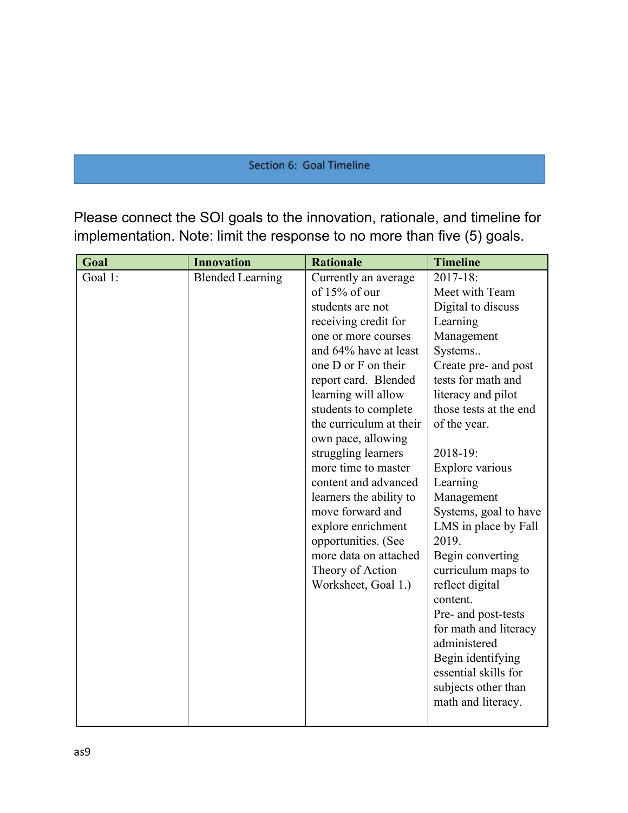#### Section 6: Goal Timeline

Please connect the SOI goals to the innovation, rationale, and timeline for implementation. Note: limit the response to no more than five (5) goals.

| Goal    | <b>Innovation</b>       | <b>Rationale</b>        | <b>Timeline</b>        |
|---------|-------------------------|-------------------------|------------------------|
| Goal 1: | <b>Blended Learning</b> | Currently an average    | 2017-18:               |
|         |                         | of 15% of our           | Meet with Team         |
|         |                         | students are not        | Digital to discuss     |
|         |                         | receiving credit for    | Learning               |
|         |                         | one or more courses     | Management             |
|         |                         | and 64% have at least   | Systems                |
|         |                         | one D or F on their     | Create pre- and post   |
|         |                         | report card. Blended    | tests for math and     |
|         |                         | learning will allow     | literacy and pilot     |
|         |                         | students to complete    | those tests at the end |
|         |                         | the curriculum at their | of the year.           |
|         |                         | own pace, allowing      |                        |
|         |                         | struggling learners     | 2018-19:               |
|         |                         | more time to master     | Explore various        |
|         |                         | content and advanced    | Learning               |
|         |                         | learners the ability to | Management             |
|         |                         | move forward and        | Systems, goal to have  |
|         |                         | explore enrichment      | LMS in place by Fall   |
|         |                         | opportunities. (See     | 2019.                  |
|         |                         | more data on attached   | Begin converting       |
|         |                         | Theory of Action        | curriculum maps to     |
|         |                         | Worksheet, Goal 1.)     | reflect digital        |
|         |                         |                         | content.               |
|         |                         |                         | Pre- and post-tests    |
|         |                         |                         | for math and literacy  |
|         |                         |                         | administered           |
|         |                         |                         | Begin identifying      |
|         |                         |                         | essential skills for   |
|         |                         |                         | subjects other than    |
|         |                         |                         | math and literacy.     |
|         |                         |                         |                        |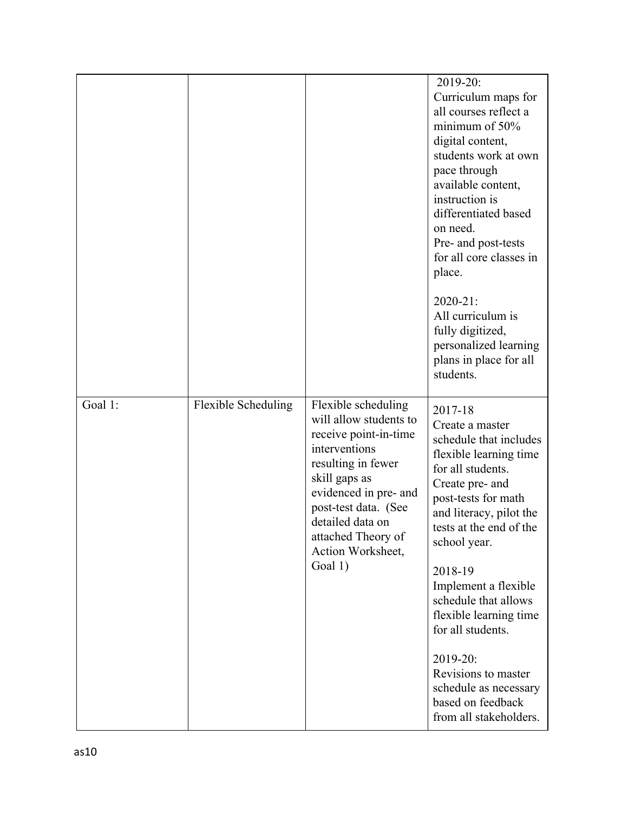|         |                            |                                                                                                                                                                                                                                                | 2019-20:<br>Curriculum maps for<br>all courses reflect a<br>minimum of 50%<br>digital content,<br>students work at own<br>pace through<br>available content,<br>instruction is<br>differentiated based<br>on need.<br>Pre- and post-tests<br>for all core classes in<br>place. |
|---------|----------------------------|------------------------------------------------------------------------------------------------------------------------------------------------------------------------------------------------------------------------------------------------|--------------------------------------------------------------------------------------------------------------------------------------------------------------------------------------------------------------------------------------------------------------------------------|
|         |                            |                                                                                                                                                                                                                                                | $2020 - 21$ :<br>All curriculum is<br>fully digitized,<br>personalized learning<br>plans in place for all<br>students.                                                                                                                                                         |
| Goal 1: | <b>Flexible Scheduling</b> | Flexible scheduling<br>will allow students to<br>receive point-in-time<br>interventions<br>resulting in fewer<br>skill gaps as<br>evidenced in pre- and<br>post-test data. (See<br>detailed data on<br>attached Theory of<br>Action Worksheet, | 2017-18<br>Create a master<br>schedule that includes<br>flexible learning time<br>for all students.<br>Create pre- and<br>post-tests for math<br>and literacy, pilot the<br>tests at the end of the<br>school year.                                                            |
|         |                            | Goal 1)                                                                                                                                                                                                                                        | 2018-19<br>Implement a flexible<br>schedule that allows<br>flexible learning time<br>for all students.                                                                                                                                                                         |
|         |                            |                                                                                                                                                                                                                                                | 2019-20:<br>Revisions to master<br>schedule as necessary<br>based on feedback<br>from all stakeholders.                                                                                                                                                                        |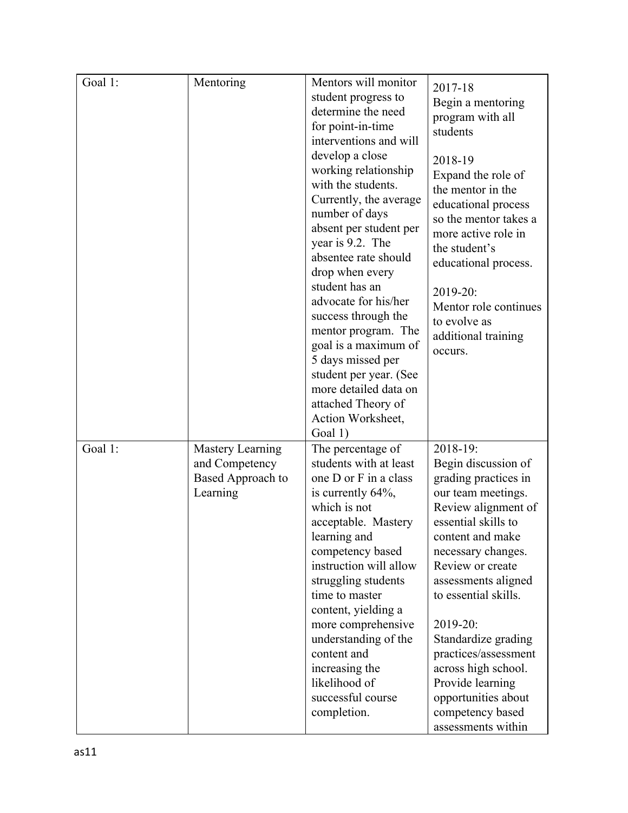| Goal 1: | Mentoring                                                                  | Mentors will monitor<br>student progress to<br>determine the need<br>for point-in-time<br>interventions and will<br>develop a close<br>working relationship<br>with the students.<br>Currently, the average<br>number of days<br>absent per student per<br>year is 9.2. The<br>absentee rate should<br>drop when every<br>student has an<br>advocate for his/her<br>success through the<br>mentor program. The<br>goal is a maximum of<br>5 days missed per<br>student per year. (See<br>more detailed data on<br>attached Theory of<br>Action Worksheet, | 2017-18<br>Begin a mentoring<br>program with all<br>students<br>2018-19<br>Expand the role of<br>the mentor in the<br>educational process<br>so the mentor takes a<br>more active role in<br>the student's<br>educational process.<br>2019-20:<br>Mentor role continues<br>to evolve as<br>additional training<br>occurs.                                                                                       |
|---------|----------------------------------------------------------------------------|-----------------------------------------------------------------------------------------------------------------------------------------------------------------------------------------------------------------------------------------------------------------------------------------------------------------------------------------------------------------------------------------------------------------------------------------------------------------------------------------------------------------------------------------------------------|-----------------------------------------------------------------------------------------------------------------------------------------------------------------------------------------------------------------------------------------------------------------------------------------------------------------------------------------------------------------------------------------------------------------|
| Goal 1: | <b>Mastery Learning</b><br>and Competency<br>Based Approach to<br>Learning | Goal 1)<br>The percentage of<br>students with at least<br>one D or F in a class<br>is currently $64\%$ ,<br>which is not<br>acceptable. Mastery<br>learning and<br>competency based<br>instruction will allow<br>struggling students<br>time to master<br>content, yielding a<br>more comprehensive<br>understanding of the<br>content and<br>increasing the<br>likelihood of<br>successful course<br>completion.                                                                                                                                         | 2018-19:<br>Begin discussion of<br>grading practices in<br>our team meetings.<br>Review alignment of<br>essential skills to<br>content and make<br>necessary changes.<br>Review or create<br>assessments aligned<br>to essential skills.<br>2019-20:<br>Standardize grading<br>practices/assessment<br>across high school.<br>Provide learning<br>opportunities about<br>competency based<br>assessments within |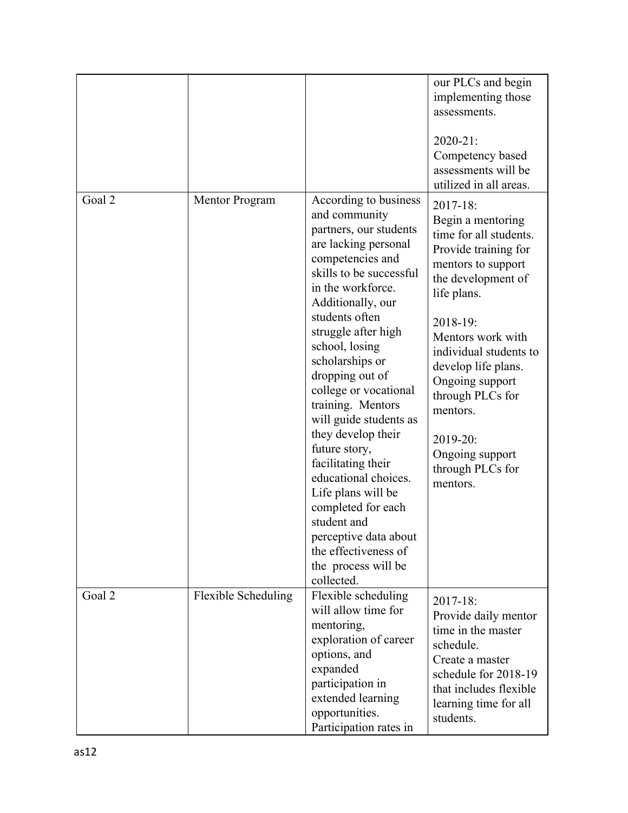|        |                     |                                                                                                                                                                                                                                                                                                                                                                                                                                                                                                                                                                                                  | our PLCs and begin<br>implementing those<br>assessments.<br>$2020 - 21$ :                                                                                                                                                                                                                                                                      |
|--------|---------------------|--------------------------------------------------------------------------------------------------------------------------------------------------------------------------------------------------------------------------------------------------------------------------------------------------------------------------------------------------------------------------------------------------------------------------------------------------------------------------------------------------------------------------------------------------------------------------------------------------|------------------------------------------------------------------------------------------------------------------------------------------------------------------------------------------------------------------------------------------------------------------------------------------------------------------------------------------------|
|        |                     |                                                                                                                                                                                                                                                                                                                                                                                                                                                                                                                                                                                                  | Competency based<br>assessments will be<br>utilized in all areas.                                                                                                                                                                                                                                                                              |
| Goal 2 | Mentor Program      | According to business<br>and community<br>partners, our students<br>are lacking personal<br>competencies and<br>skills to be successful<br>in the workforce.<br>Additionally, our<br>students often<br>struggle after high<br>school, losing<br>scholarships or<br>dropping out of<br>college or vocational<br>training. Mentors<br>will guide students as<br>they develop their<br>future story,<br>facilitating their<br>educational choices.<br>Life plans will be<br>completed for each<br>student and<br>perceptive data about<br>the effectiveness of<br>the process will be<br>collected. | 2017-18:<br>Begin a mentoring<br>time for all students.<br>Provide training for<br>mentors to support<br>the development of<br>life plans.<br>2018-19:<br>Mentors work with<br>individual students to<br>develop life plans.<br>Ongoing support<br>through PLCs for<br>mentors.<br>2019-20:<br>Ongoing support<br>through PLCs for<br>mentors. |
| Goal 2 | Flexible Scheduling | Flexible scheduling<br>will allow time for<br>mentoring,<br>exploration of career<br>options, and<br>expanded<br>participation in<br>extended learning<br>opportunities.<br>Participation rates in                                                                                                                                                                                                                                                                                                                                                                                               | 2017-18:<br>Provide daily mentor<br>time in the master<br>schedule.<br>Create a master<br>schedule for 2018-19<br>that includes flexible<br>learning time for all<br>students.                                                                                                                                                                 |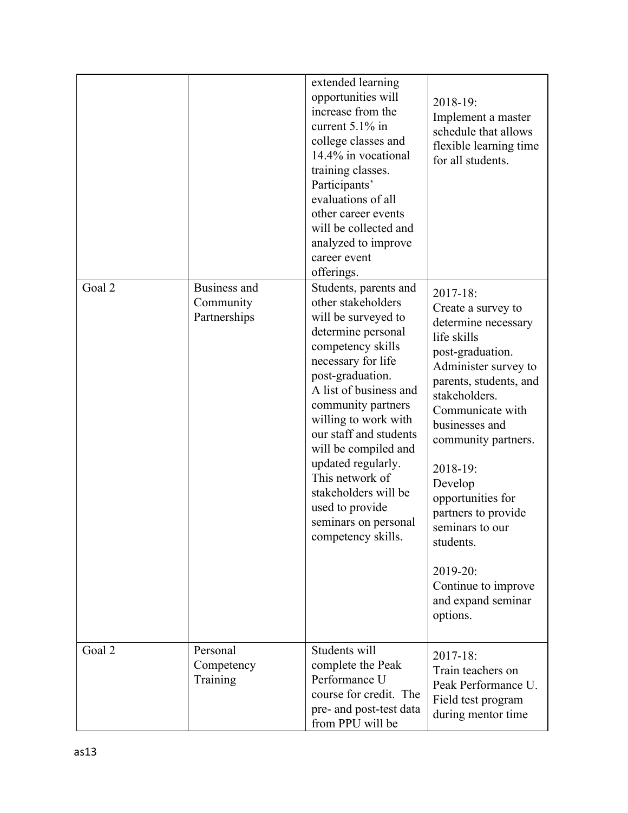|        |                                           | extended learning<br>opportunities will<br>increase from the<br>current 5.1% in<br>college classes and<br>14.4% in vocational<br>training classes.<br>Participants'<br>evaluations of all<br>other career events<br>will be collected and<br>analyzed to improve<br>career event<br>offerings.                                                                                                                      | 2018-19:<br>Implement a master<br>schedule that allows<br>flexible learning time<br>for all students.                                                                                                                                                                                                                                                                                            |
|--------|-------------------------------------------|---------------------------------------------------------------------------------------------------------------------------------------------------------------------------------------------------------------------------------------------------------------------------------------------------------------------------------------------------------------------------------------------------------------------|--------------------------------------------------------------------------------------------------------------------------------------------------------------------------------------------------------------------------------------------------------------------------------------------------------------------------------------------------------------------------------------------------|
| Goal 2 | Business and<br>Community<br>Partnerships | Students, parents and<br>other stakeholders<br>will be surveyed to<br>determine personal<br>competency skills<br>necessary for life<br>post-graduation.<br>A list of business and<br>community partners<br>willing to work with<br>our staff and students<br>will be compiled and<br>updated regularly.<br>This network of<br>stakeholders will be<br>used to provide<br>seminars on personal<br>competency skills. | 2017-18:<br>Create a survey to<br>determine necessary<br>life skills<br>post-graduation.<br>Administer survey to<br>parents, students, and<br>stakeholders.<br>Communicate with<br>businesses and<br>community partners.<br>2018-19:<br>Develop<br>opportunities for<br>partners to provide<br>seminars to our<br>students.<br>2019-20:<br>Continue to improve<br>and expand seminar<br>options. |
| Goal 2 | Personal<br>Competency<br>Training        | Students will<br>complete the Peak<br>Performance U<br>course for credit. The<br>pre- and post-test data<br>from PPU will be                                                                                                                                                                                                                                                                                        | 2017-18:<br>Train teachers on<br>Peak Performance U.<br>Field test program<br>during mentor time                                                                                                                                                                                                                                                                                                 |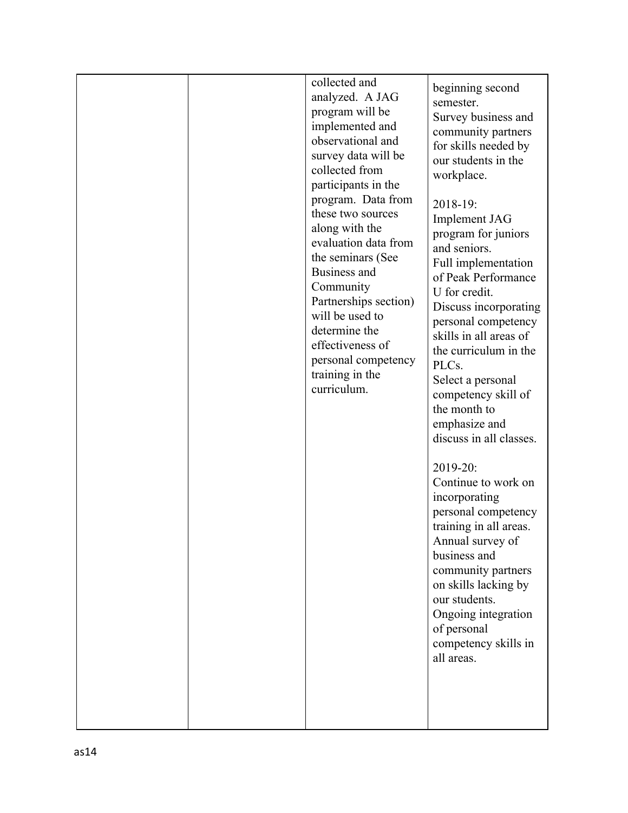|  | collected and<br>analyzed. A JAG<br>program will be<br>implemented and<br>observational and<br>survey data will be<br>collected from<br>participants in the<br>program. Data from<br>these two sources<br>along with the<br>evaluation data from<br>the seminars (See<br>Business and<br>Community<br>Partnerships section)<br>will be used to<br>determine the<br>effectiveness of<br>personal competency<br>training in the<br>curriculum. | beginning second<br>semester.<br>Survey business and<br>community partners<br>for skills needed by<br>our students in the<br>workplace.<br>2018-19:<br><b>Implement JAG</b><br>program for juniors<br>and seniors.<br>Full implementation<br>of Peak Performance<br>U for credit.<br>Discuss incorporating<br>personal competency<br>skills in all areas of<br>the curriculum in the<br>PLCs.<br>Select a personal<br>competency skill of<br>the month to<br>emphasize and<br>discuss in all classes.<br>2019-20:<br>Continue to work on<br>incorporating<br>personal competency<br>training in all areas.<br>Annual survey of<br>business and<br>community partners<br>on skills lacking by<br>our students.<br>Ongoing integration<br>of personal<br>competency skills in<br>all areas. |
|--|----------------------------------------------------------------------------------------------------------------------------------------------------------------------------------------------------------------------------------------------------------------------------------------------------------------------------------------------------------------------------------------------------------------------------------------------|-------------------------------------------------------------------------------------------------------------------------------------------------------------------------------------------------------------------------------------------------------------------------------------------------------------------------------------------------------------------------------------------------------------------------------------------------------------------------------------------------------------------------------------------------------------------------------------------------------------------------------------------------------------------------------------------------------------------------------------------------------------------------------------------|
|--|----------------------------------------------------------------------------------------------------------------------------------------------------------------------------------------------------------------------------------------------------------------------------------------------------------------------------------------------------------------------------------------------------------------------------------------------|-------------------------------------------------------------------------------------------------------------------------------------------------------------------------------------------------------------------------------------------------------------------------------------------------------------------------------------------------------------------------------------------------------------------------------------------------------------------------------------------------------------------------------------------------------------------------------------------------------------------------------------------------------------------------------------------------------------------------------------------------------------------------------------------|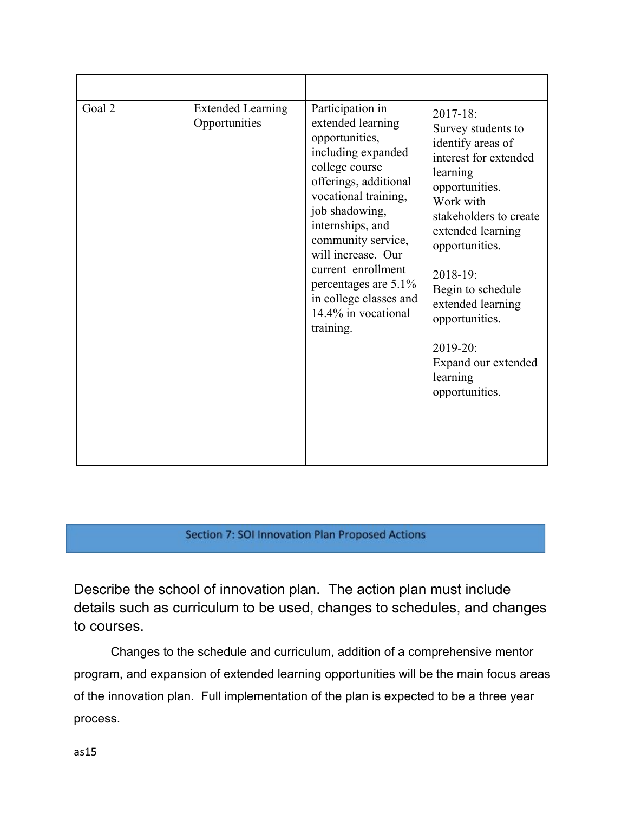| Goal 2 | <b>Extended Learning</b><br>Opportunities | Participation in<br>extended learning<br>opportunities,<br>including expanded<br>college course<br>offerings, additional<br>vocational training,<br>job shadowing,<br>internships, and<br>community service,<br>will increase. Our<br>current enrollment<br>percentages are 5.1%<br>in college classes and<br>14.4% in vocational<br>training. | $2017 - 18$ :<br>Survey students to<br>identify areas of<br>interest for extended<br>learning<br>opportunities.<br>Work with<br>stakeholders to create<br>extended learning<br>opportunities.<br>$2018 - 19$ :<br>Begin to schedule<br>extended learning<br>opportunities.<br>$2019 - 20$ :<br>Expand our extended<br>learning<br>opportunities. |
|--------|-------------------------------------------|------------------------------------------------------------------------------------------------------------------------------------------------------------------------------------------------------------------------------------------------------------------------------------------------------------------------------------------------|--------------------------------------------------------------------------------------------------------------------------------------------------------------------------------------------------------------------------------------------------------------------------------------------------------------------------------------------------|

## Section 7: SOI Innovation Plan Proposed Actions

Describe the school of innovation plan. The action plan must include details such as curriculum to be used, changes to schedules, and changes to courses.

Changes to the schedule and curriculum, addition of a comprehensive mentor program, and expansion of extended learning opportunities will be the main focus areas of the innovation plan. Full implementation of the plan is expected to be a three year process.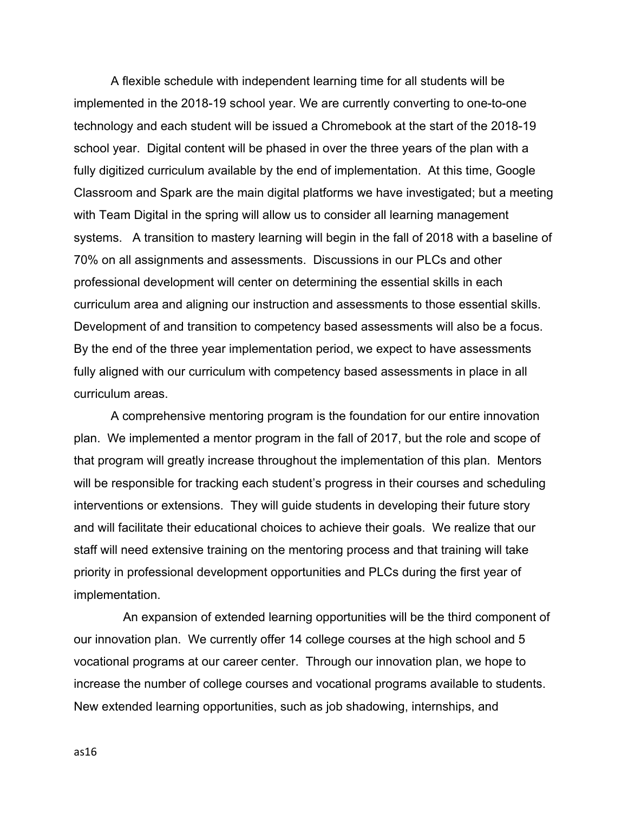A flexible schedule with independent learning time for all students will be implemented in the 2018-19 school year. We are currently converting to one-to-one technology and each student will be issued a Chromebook at the start of the 2018-19 school year. Digital content will be phased in over the three years of the plan with a fully digitized curriculum available by the end of implementation. At this time, Google Classroom and Spark are the main digital platforms we have investigated; but a meeting with Team Digital in the spring will allow us to consider all learning management systems. A transition to mastery learning will begin in the fall of 2018 with a baseline of 70% on all assignments and assessments. Discussions in our PLCs and other professional development will center on determining the essential skills in each curriculum area and aligning our instruction and assessments to those essential skills. Development of and transition to competency based assessments will also be a focus. By the end of the three year implementation period, we expect to have assessments fully aligned with our curriculum with competency based assessments in place in all curriculum areas.

A comprehensive mentoring program is the foundation for our entire innovation plan. We implemented a mentor program in the fall of 2017, but the role and scope of that program will greatly increase throughout the implementation of this plan. Mentors will be responsible for tracking each student's progress in their courses and scheduling interventions or extensions. They will guide students in developing their future story and will facilitate their educational choices to achieve their goals. We realize that our staff will need extensive training on the mentoring process and that training will take priority in professional development opportunities and PLCs during the first year of implementation.

An expansion of extended learning opportunities will be the third component of our innovation plan. We currently offer 14 college courses at the high school and 5 vocational programs at our career center. Through our innovation plan, we hope to increase the number of college courses and vocational programs available to students. New extended learning opportunities, such as job shadowing, internships, and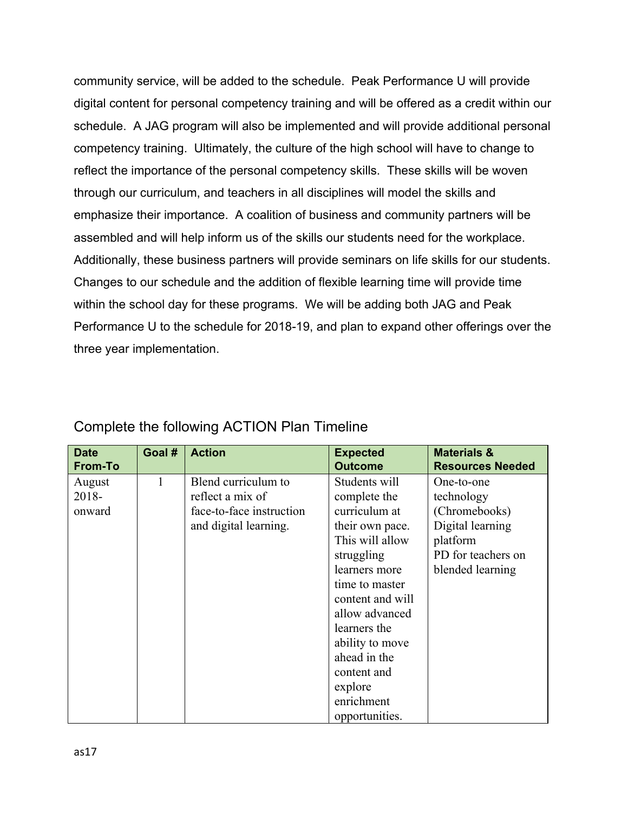community service, will be added to the schedule. Peak Performance U will provide digital content for personal competency training and will be offered as a credit within our schedule. A JAG program will also be implemented and will provide additional personal competency training. Ultimately, the culture of the high school will have to change to reflect the importance of the personal competency skills. These skills will be woven through our curriculum, and teachers in all disciplines will model the skills and emphasize their importance. A coalition of business and community partners will be assembled and will help inform us of the skills our students need for the workplace. Additionally, these business partners will provide seminars on life skills for our students. Changes to our schedule and the addition of flexible learning time will provide time within the school day for these programs. We will be adding both JAG and Peak Performance U to the schedule for 2018-19, and plan to expand other offerings over the three year implementation.

| <b>Date</b>    | Goal # | <b>Action</b>            | <b>Expected</b>  | <b>Materials &amp;</b>  |
|----------------|--------|--------------------------|------------------|-------------------------|
| <b>From-To</b> |        |                          | <b>Outcome</b>   | <b>Resources Needed</b> |
| August         | 1      | Blend curriculum to      | Students will    | One-to-one              |
| 2018-          |        | reflect a mix of         | complete the     | technology              |
| onward         |        | face-to-face instruction | curriculum at    | (Chromebooks)           |
|                |        | and digital learning.    | their own pace.  | Digital learning        |
|                |        |                          | This will allow  | platform                |
|                |        |                          | struggling       | PD for teachers on      |
|                |        |                          | learners more    | blended learning        |
|                |        |                          | time to master   |                         |
|                |        |                          | content and will |                         |
|                |        |                          | allow advanced   |                         |
|                |        |                          | learners the     |                         |
|                |        |                          | ability to move  |                         |
|                |        |                          | ahead in the     |                         |
|                |        |                          | content and      |                         |
|                |        |                          | explore          |                         |
|                |        |                          | enrichment       |                         |
|                |        |                          | opportunities.   |                         |

# Complete the following ACTION Plan Timeline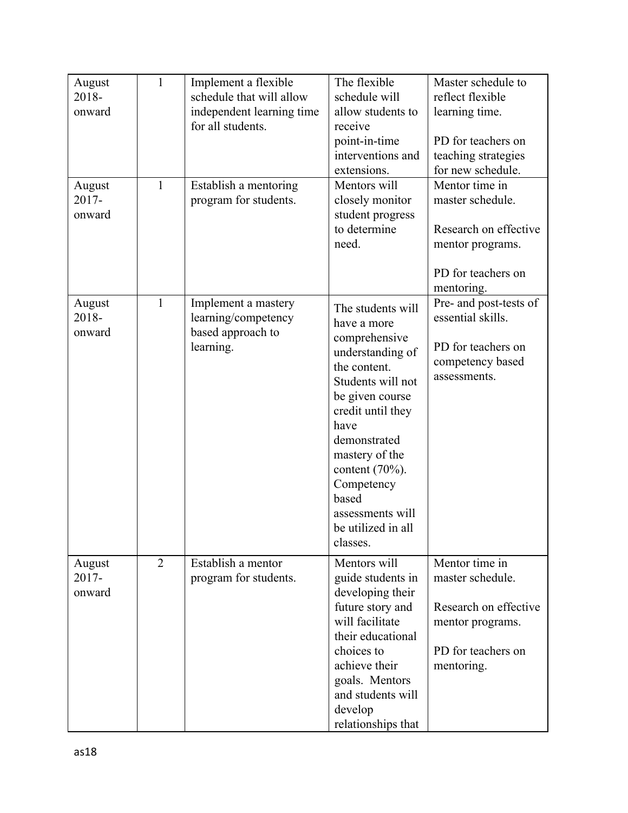| August<br>2018-<br>onward | $\mathbf{1}$   | Implement a flexible<br>schedule that will allow<br>independent learning time<br>for all students. | The flexible<br>schedule will<br>allow students to<br>receive<br>point-in-time<br>interventions and<br>extensions.                                                                                                                                                                              | Master schedule to<br>reflect flexible<br>learning time.<br>PD for teachers on<br>teaching strategies<br>for new schedule. |
|---------------------------|----------------|----------------------------------------------------------------------------------------------------|-------------------------------------------------------------------------------------------------------------------------------------------------------------------------------------------------------------------------------------------------------------------------------------------------|----------------------------------------------------------------------------------------------------------------------------|
| August<br>2017-<br>onward | 1              | Establish a mentoring<br>program for students.                                                     | Mentors will<br>closely monitor<br>student progress<br>to determine<br>need.                                                                                                                                                                                                                    | Mentor time in<br>master schedule.<br>Research on effective<br>mentor programs.<br>PD for teachers on<br>mentoring.        |
| August<br>2018-<br>onward | $\mathbf{1}$   | Implement a mastery<br>learning/competency<br>based approach to<br>learning.                       | The students will<br>have a more<br>comprehensive<br>understanding of<br>the content.<br>Students will not<br>be given course<br>credit until they<br>have<br>demonstrated<br>mastery of the<br>content $(70\%)$ .<br>Competency<br>based<br>assessments will<br>be utilized in all<br>classes. | Pre- and post-tests of<br>essential skills.<br>PD for teachers on<br>competency based<br>assessments.                      |
| August<br>2017-<br>onward | $\overline{2}$ | Establish a mentor<br>program for students.                                                        | Mentors will<br>guide students in<br>developing their<br>future story and<br>will facilitate<br>their educational<br>choices to<br>achieve their<br>goals. Mentors<br>and students will<br>develop<br>relationships that                                                                        | Mentor time in<br>master schedule.<br>Research on effective<br>mentor programs.<br>PD for teachers on<br>mentoring.        |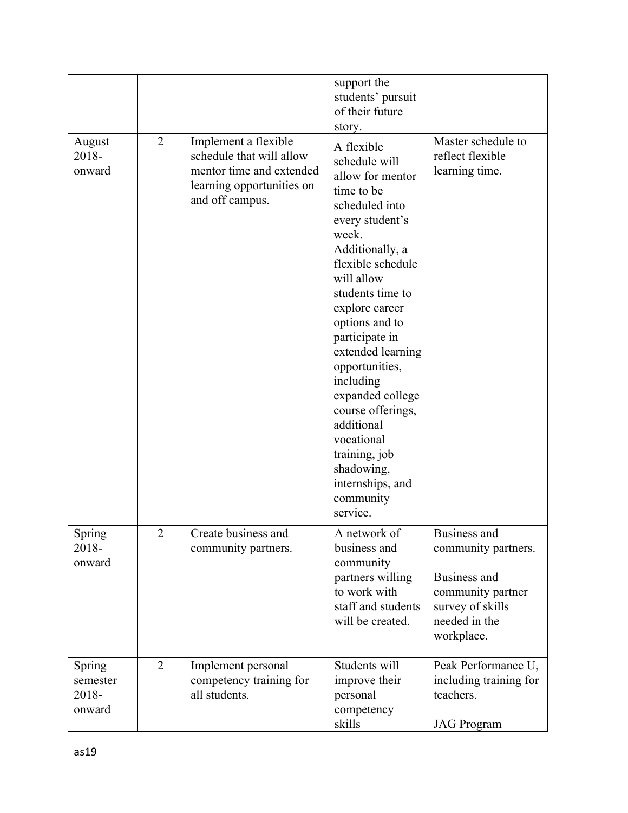|                                       |                |                                                                                                                              | support the<br>students' pursuit<br>of their future<br>story.                                                                                                                                                                                                                                                                                                                                                                                    |                                                                                                                             |
|---------------------------------------|----------------|------------------------------------------------------------------------------------------------------------------------------|--------------------------------------------------------------------------------------------------------------------------------------------------------------------------------------------------------------------------------------------------------------------------------------------------------------------------------------------------------------------------------------------------------------------------------------------------|-----------------------------------------------------------------------------------------------------------------------------|
| August<br>2018-<br>onward             | $\overline{2}$ | Implement a flexible<br>schedule that will allow<br>mentor time and extended<br>learning opportunities on<br>and off campus. | A flexible<br>schedule will<br>allow for mentor<br>time to be<br>scheduled into<br>every student's<br>week.<br>Additionally, a<br>flexible schedule<br>will allow<br>students time to<br>explore career<br>options and to<br>participate in<br>extended learning<br>opportunities,<br>including<br>expanded college<br>course offerings,<br>additional<br>vocational<br>training, job<br>shadowing,<br>internships, and<br>community<br>service. | Master schedule to<br>reflect flexible<br>learning time.                                                                    |
| Spring<br>2018-<br>onward             | $\overline{2}$ | Create business and<br>community partners.                                                                                   | A network of<br>business and<br>community<br>partners willing<br>to work with<br>staff and students<br>will be created.                                                                                                                                                                                                                                                                                                                          | Business and<br>community partners.<br>Business and<br>community partner<br>survey of skills<br>needed in the<br>workplace. |
| Spring<br>semester<br>2018-<br>onward | $\overline{2}$ | Implement personal<br>competency training for<br>all students.                                                               | Students will<br>improve their<br>personal<br>competency<br>skills                                                                                                                                                                                                                                                                                                                                                                               | Peak Performance U,<br>including training for<br>teachers.<br><b>JAG</b> Program                                            |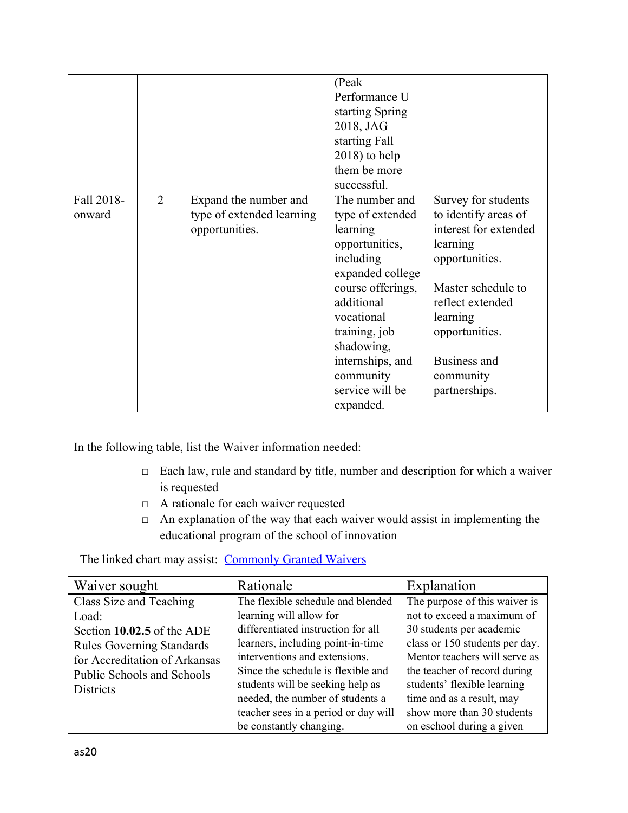|                      |                |                                                                      | (Peak)<br>Performance U<br>starting Spring<br>2018, JAG<br>starting Fall<br>$2018$ ) to help<br>them be more<br>successful.                                                                                                           |                                                                                                                                                                                                                          |
|----------------------|----------------|----------------------------------------------------------------------|---------------------------------------------------------------------------------------------------------------------------------------------------------------------------------------------------------------------------------------|--------------------------------------------------------------------------------------------------------------------------------------------------------------------------------------------------------------------------|
| Fall 2018-<br>onward | $\overline{2}$ | Expand the number and<br>type of extended learning<br>opportunities. | The number and<br>type of extended<br>learning<br>opportunities,<br>including<br>expanded college<br>course offerings,<br>additional<br>vocational<br>training, job<br>shadowing,<br>internships, and<br>community<br>service will be | Survey for students<br>to identify areas of<br>interest for extended<br>learning<br>opportunities.<br>Master schedule to<br>reflect extended<br>learning<br>opportunities.<br>Business and<br>community<br>partnerships. |

In the following table, list the Waiver information needed:

- □ Each law, rule and standard by title, number and description for which a waiver is requested
- □ A rationale for each waiver requested
- $\Box$  An explanation of the way that each waiver would assist in implementing the educational program of the school of innovation

The linked chart may assist: [Commonly Granted Waivers](http://www.arkansased.gov/public/userfiles/Learning_Services/Charter%20and%20Home%20School/Charter%20School-Division%20of%20Learning%20Services/Applications/Waiver_Document.pdf)

| Waiver sought                    | Rationale                            | Explanation                    |
|----------------------------------|--------------------------------------|--------------------------------|
| Class Size and Teaching          | The flexible schedule and blended    | The purpose of this waiver is  |
| Load:                            | learning will allow for              | not to exceed a maximum of     |
| Section 10.02.5 of the ADE       | differentiated instruction for all   | 30 students per academic       |
| <b>Rules Governing Standards</b> | learners, including point-in-time    | class or 150 students per day. |
| for Accreditation of Arkansas    | interventions and extensions.        | Mentor teachers will serve as  |
| Public Schools and Schools       | Since the schedule is flexible and   | the teacher of record during   |
| <b>Districts</b>                 | students will be seeking help as     | students' flexible learning    |
|                                  | needed, the number of students a     | time and as a result, may      |
|                                  | teacher sees in a period or day will | show more than 30 students     |
|                                  | be constantly changing.              | on eschool during a given      |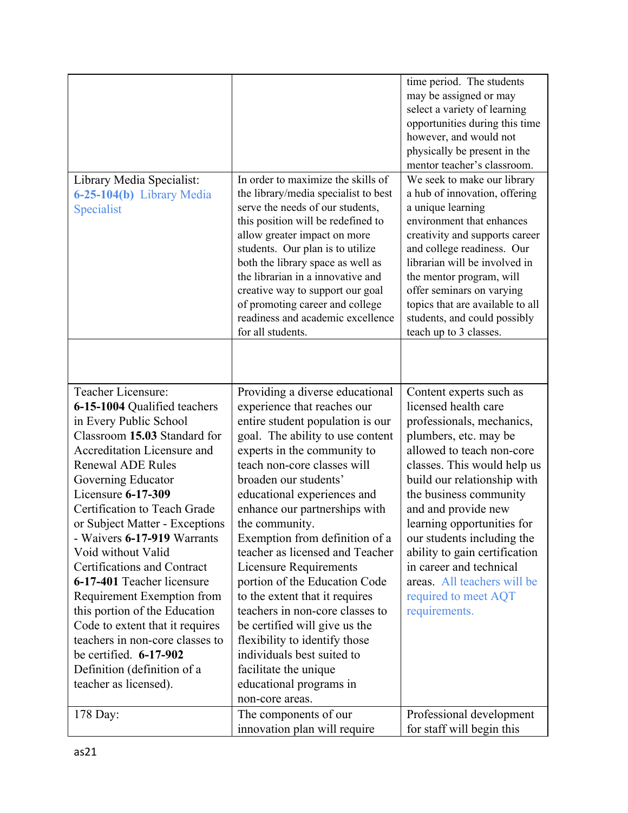|                                                                                                                                                                                                                                                                                                                                                                                                                                                                                                                                                                                                                                  |                                                                                                                                                                                                                                                                                                                                                                                                                                                                                                                                                                                                                                                                                                    | time period. The students<br>may be assigned or may<br>select a variety of learning<br>opportunities during this time<br>however, and would not<br>physically be present in the<br>mentor teacher's classroom.                                                                                                                                                                                                                                    |
|----------------------------------------------------------------------------------------------------------------------------------------------------------------------------------------------------------------------------------------------------------------------------------------------------------------------------------------------------------------------------------------------------------------------------------------------------------------------------------------------------------------------------------------------------------------------------------------------------------------------------------|----------------------------------------------------------------------------------------------------------------------------------------------------------------------------------------------------------------------------------------------------------------------------------------------------------------------------------------------------------------------------------------------------------------------------------------------------------------------------------------------------------------------------------------------------------------------------------------------------------------------------------------------------------------------------------------------------|---------------------------------------------------------------------------------------------------------------------------------------------------------------------------------------------------------------------------------------------------------------------------------------------------------------------------------------------------------------------------------------------------------------------------------------------------|
| Library Media Specialist:<br>6-25-104(b) Library Media<br>Specialist                                                                                                                                                                                                                                                                                                                                                                                                                                                                                                                                                             | In order to maximize the skills of<br>the library/media specialist to best<br>serve the needs of our students,<br>this position will be redefined to<br>allow greater impact on more<br>students. Our plan is to utilize<br>both the library space as well as<br>the librarian in a innovative and<br>creative way to support our goal<br>of promoting career and college<br>readiness and academic excellence<br>for all students.                                                                                                                                                                                                                                                                | We seek to make our library<br>a hub of innovation, offering<br>a unique learning<br>environment that enhances<br>creativity and supports career<br>and college readiness. Our<br>librarian will be involved in<br>the mentor program, will<br>offer seminars on varying<br>topics that are available to all<br>students, and could possibly<br>teach up to 3 classes.                                                                            |
|                                                                                                                                                                                                                                                                                                                                                                                                                                                                                                                                                                                                                                  |                                                                                                                                                                                                                                                                                                                                                                                                                                                                                                                                                                                                                                                                                                    |                                                                                                                                                                                                                                                                                                                                                                                                                                                   |
| Teacher Licensure:<br>6-15-1004 Qualified teachers<br>in Every Public School<br>Classroom 15.03 Standard for<br>Accreditation Licensure and<br><b>Renewal ADE Rules</b><br>Governing Educator<br>Licensure 6-17-309<br>Certification to Teach Grade<br>or Subject Matter - Exceptions<br>- Waivers 6-17-919 Warrants<br>Void without Valid<br>Certifications and Contract<br>6-17-401 Teacher licensure<br>Requirement Exemption from<br>this portion of the Education<br>Code to extent that it requires<br>teachers in non-core classes to<br>be certified. $6-17-902$<br>Definition (definition of a<br>teacher as licensed). | Providing a diverse educational<br>experience that reaches our<br>entire student population is our<br>goal. The ability to use content<br>experts in the community to<br>teach non-core classes will<br>broaden our students'<br>educational experiences and<br>enhance our partnerships with<br>the community.<br>Exemption from definition of a<br>teacher as licensed and Teacher<br><b>Licensure Requirements</b><br>portion of the Education Code<br>to the extent that it requires<br>teachers in non-core classes to<br>be certified will give us the<br>flexibility to identify those<br>individuals best suited to<br>facilitate the unique<br>educational programs in<br>non-core areas. | Content experts such as<br>licensed health care<br>professionals, mechanics,<br>plumbers, etc. may be<br>allowed to teach non-core<br>classes. This would help us<br>build our relationship with<br>the business community<br>and and provide new<br>learning opportunities for<br>our students including the<br>ability to gain certification<br>in career and technical<br>areas. All teachers will be<br>required to meet AQT<br>requirements. |
| 178 Day:                                                                                                                                                                                                                                                                                                                                                                                                                                                                                                                                                                                                                         | The components of our<br>innovation plan will require                                                                                                                                                                                                                                                                                                                                                                                                                                                                                                                                                                                                                                              | Professional development<br>for staff will begin this                                                                                                                                                                                                                                                                                                                                                                                             |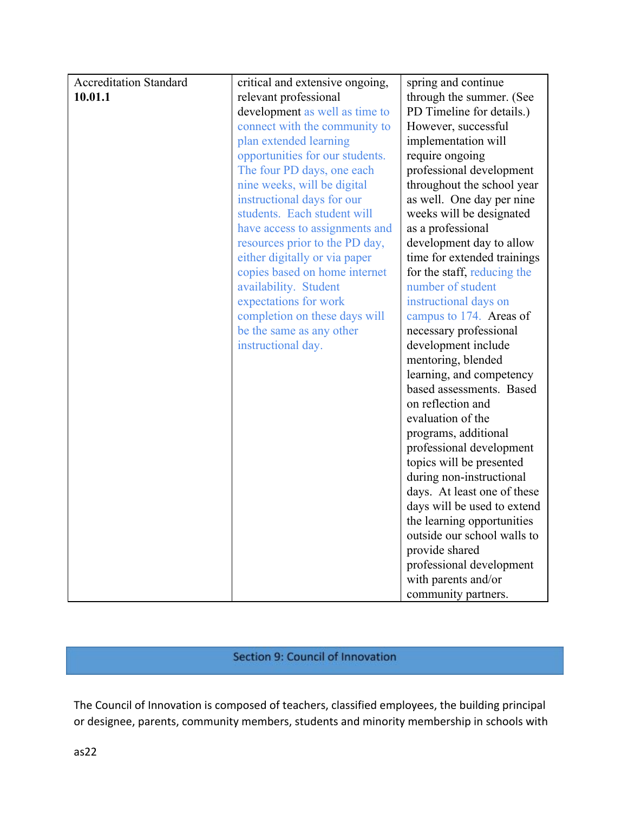| <b>Accreditation Standard</b> | critical and extensive ongoing, | spring and continue         |
|-------------------------------|---------------------------------|-----------------------------|
| 10.01.1                       | relevant professional           | through the summer. (See    |
|                               | development as well as time to  | PD Timeline for details.)   |
|                               | connect with the community to   | However, successful         |
|                               | plan extended learning          | implementation will         |
|                               | opportunities for our students. | require ongoing             |
|                               | The four PD days, one each      | professional development    |
|                               | nine weeks, will be digital     | throughout the school year  |
|                               | instructional days for our      | as well. One day per nine   |
|                               | students. Each student will     | weeks will be designated    |
|                               | have access to assignments and  | as a professional           |
|                               | resources prior to the PD day,  | development day to allow    |
|                               | either digitally or via paper   | time for extended trainings |
|                               | copies based on home internet   | for the staff, reducing the |
|                               | availability. Student           | number of student           |
|                               | expectations for work           | instructional days on       |
|                               | completion on these days will   | campus to 174. Areas of     |
|                               | be the same as any other        | necessary professional      |
|                               | instructional day.              | development include         |
|                               |                                 | mentoring, blended          |
|                               |                                 | learning, and competency    |
|                               |                                 | based assessments. Based    |
|                               |                                 | on reflection and           |
|                               |                                 | evaluation of the           |
|                               |                                 | programs, additional        |
|                               |                                 | professional development    |
|                               |                                 | topics will be presented    |
|                               |                                 | during non-instructional    |
|                               |                                 | days. At least one of these |
|                               |                                 | days will be used to extend |
|                               |                                 | the learning opportunities  |
|                               |                                 | outside our school walls to |
|                               |                                 | provide shared              |
|                               |                                 | professional development    |
|                               |                                 | with parents and/or         |
|                               |                                 | community partners.         |

## Section 9: Council of Innovation

The Council of Innovation is composed of teachers, classified employees, the building principal or designee, parents, community members, students and minority membership in schools with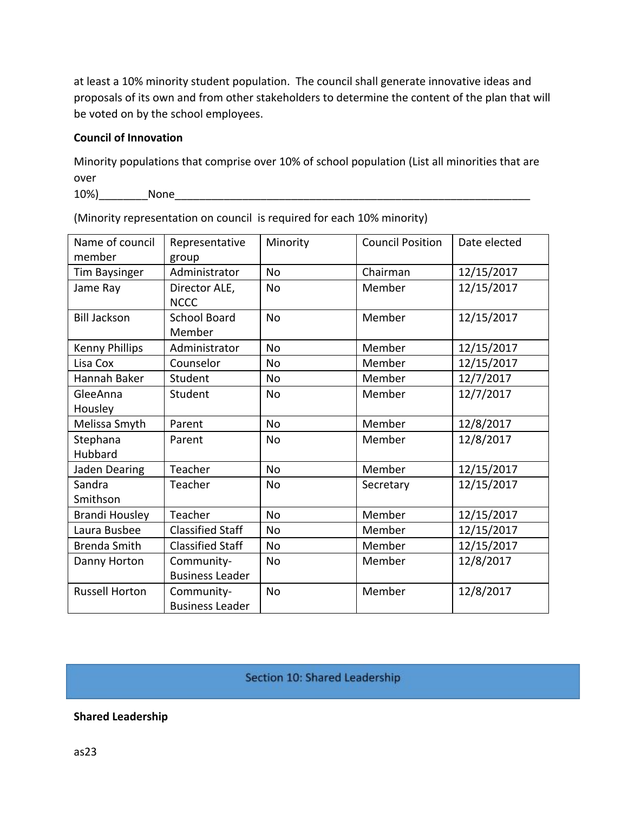at least a 10% minority student population. The council shall generate innovative ideas and proposals of its own and from other stakeholders to determine the content of the plan that will be voted on by the school employees.

#### **Council of Innovation**

Minority populations that comprise over 10% of school population (List all minorities that are over

10%)\_\_\_\_\_\_\_\_None\_\_\_\_\_\_\_\_\_\_\_\_\_\_\_\_\_\_\_\_\_\_\_\_\_\_\_\_\_\_\_\_\_\_\_\_\_\_\_\_\_\_\_\_\_\_\_\_\_\_\_\_\_\_\_\_\_\_

| Name of council<br>member | Representative<br>group              | Minority  | <b>Council Position</b> | Date elected |
|---------------------------|--------------------------------------|-----------|-------------------------|--------------|
| <b>Tim Baysinger</b>      | Administrator                        | <b>No</b> | Chairman                | 12/15/2017   |
| Jame Ray                  | Director ALE,<br><b>NCCC</b>         | <b>No</b> | Member                  | 12/15/2017   |
| <b>Bill Jackson</b>       | <b>School Board</b><br>Member        | <b>No</b> | Member                  | 12/15/2017   |
| <b>Kenny Phillips</b>     | Administrator                        | <b>No</b> | Member                  | 12/15/2017   |
| Lisa Cox                  | Counselor                            | <b>No</b> | Member                  | 12/15/2017   |
| Hannah Baker              | Student                              | <b>No</b> | Member                  | 12/7/2017    |
| GleeAnna<br>Housley       | Student                              | <b>No</b> | Member                  | 12/7/2017    |
| Melissa Smyth             | Parent                               | No        | Member                  | 12/8/2017    |
| Stephana<br>Hubbard       | Parent                               | No        | Member                  | 12/8/2017    |
| Jaden Dearing             | Teacher                              | <b>No</b> | Member                  | 12/15/2017   |
| Sandra<br>Smithson        | Teacher                              | <b>No</b> | Secretary               | 12/15/2017   |
| Brandi Housley            | Teacher                              | <b>No</b> | Member                  | 12/15/2017   |
| Laura Busbee              | <b>Classified Staff</b>              | <b>No</b> | Member                  | 12/15/2017   |
| <b>Brenda Smith</b>       | <b>Classified Staff</b>              | <b>No</b> | Member                  | 12/15/2017   |
| Danny Horton              | Community-<br><b>Business Leader</b> | <b>No</b> | Member                  | 12/8/2017    |
| <b>Russell Horton</b>     | Community-<br><b>Business Leader</b> | <b>No</b> | Member                  | 12/8/2017    |

(Minority representation on council is required for each 10% minority)

## Section 10: Shared Leadership

#### **Shared Leadership**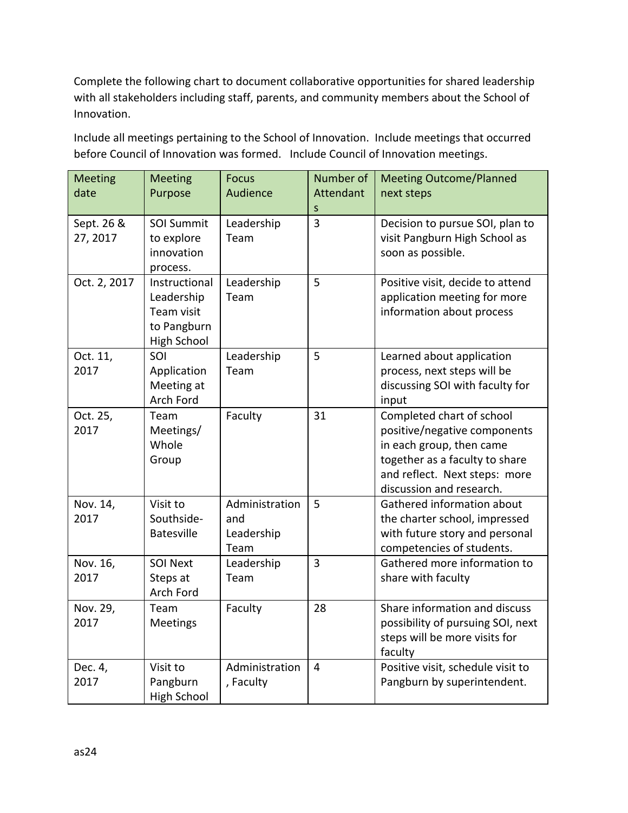Complete the following chart to document collaborative opportunities for shared leadership with all stakeholders including staff, parents, and community members about the School of Innovation.

Include all meetings pertaining to the School of Innovation. Include meetings that occurred before Council of Innovation was formed. Include Council of Innovation meetings.

| <b>Meeting</b><br>date | <b>Meeting</b><br>Purpose                                                      | <b>Focus</b><br>Audience                    | Number of<br><b>Attendant</b><br>S | <b>Meeting Outcome/Planned</b><br>next steps                                                                                                                                         |
|------------------------|--------------------------------------------------------------------------------|---------------------------------------------|------------------------------------|--------------------------------------------------------------------------------------------------------------------------------------------------------------------------------------|
| Sept. 26 &<br>27, 2017 | <b>SOI Summit</b><br>to explore<br>innovation<br>process.                      | Leadership<br>Team                          | $\overline{3}$                     | Decision to pursue SOI, plan to<br>visit Pangburn High School as<br>soon as possible.                                                                                                |
| Oct. 2, 2017           | Instructional<br>Leadership<br>Team visit<br>to Pangburn<br><b>High School</b> | Leadership<br>Team                          | 5                                  | Positive visit, decide to attend<br>application meeting for more<br>information about process                                                                                        |
| Oct. 11,<br>2017       | SOI<br>Application<br>Meeting at<br>Arch Ford                                  | Leadership<br>Team                          | 5                                  | Learned about application<br>process, next steps will be<br>discussing SOI with faculty for<br>input                                                                                 |
| Oct. 25,<br>2017       | Team<br>Meetings/<br>Whole<br>Group                                            | Faculty                                     | 31                                 | Completed chart of school<br>positive/negative components<br>in each group, then came<br>together as a faculty to share<br>and reflect. Next steps: more<br>discussion and research. |
| Nov. 14,<br>2017       | Visit to<br>Southside-<br><b>Batesville</b>                                    | Administration<br>and<br>Leadership<br>Team | 5                                  | Gathered information about<br>the charter school, impressed<br>with future story and personal<br>competencies of students.                                                           |
| Nov. 16,<br>2017       | <b>SOI Next</b><br>Steps at<br>Arch Ford                                       | Leadership<br>Team                          | $\overline{3}$                     | Gathered more information to<br>share with faculty                                                                                                                                   |
| Nov. 29,<br>2017       | Team<br><b>Meetings</b>                                                        | Faculty                                     | 28                                 | Share information and discuss<br>possibility of pursuing SOI, next<br>steps will be more visits for<br>faculty                                                                       |
| Dec. 4,<br>2017        | Visit to<br>Pangburn<br><b>High School</b>                                     | Administration<br>, Faculty                 | $\overline{4}$                     | Positive visit, schedule visit to<br>Pangburn by superintendent.                                                                                                                     |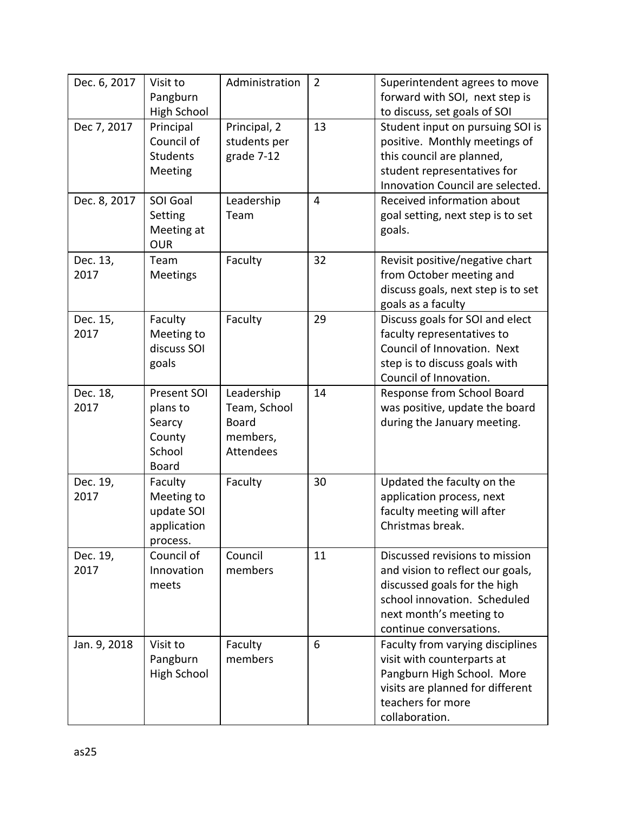| Dec. 6, 2017     | Visit to<br>Pangburn<br><b>High School</b>                            | Administration                                                             | $\overline{2}$ | Superintendent agrees to move<br>forward with SOI, next step is<br>to discuss, set goals of SOI                                                                                          |
|------------------|-----------------------------------------------------------------------|----------------------------------------------------------------------------|----------------|------------------------------------------------------------------------------------------------------------------------------------------------------------------------------------------|
| Dec 7, 2017      | Principal<br>Council of<br><b>Students</b><br>Meeting                 | Principal, 2<br>students per<br>grade 7-12                                 | 13             | Student input on pursuing SOI is<br>positive. Monthly meetings of<br>this council are planned,<br>student representatives for<br>Innovation Council are selected.                        |
| Dec. 8, 2017     | SOI Goal<br>Setting<br>Meeting at<br><b>OUR</b>                       | Leadership<br>Team                                                         | $\overline{4}$ | Received information about<br>goal setting, next step is to set<br>goals.                                                                                                                |
| Dec. 13,<br>2017 | Team<br><b>Meetings</b>                                               | Faculty                                                                    | 32             | Revisit positive/negative chart<br>from October meeting and<br>discuss goals, next step is to set<br>goals as a faculty                                                                  |
| Dec. 15,<br>2017 | Faculty<br>Meeting to<br>discuss SOI<br>goals                         | Faculty                                                                    | 29             | Discuss goals for SOI and elect<br>faculty representatives to<br>Council of Innovation. Next<br>step is to discuss goals with<br>Council of Innovation.                                  |
| Dec. 18,<br>2017 | Present SOI<br>plans to<br>Searcy<br>County<br>School<br><b>Board</b> | Leadership<br>Team, School<br><b>Board</b><br>members,<br><b>Attendees</b> | 14             | Response from School Board<br>was positive, update the board<br>during the January meeting.                                                                                              |
| Dec. 19,<br>2017 | Faculty<br>Meeting to<br>update SOI<br>application<br>process.        | Faculty                                                                    | 30             | Updated the faculty on the<br>application process, next<br>faculty meeting will after<br>Christmas break.                                                                                |
| Dec. 19,<br>2017 | Council of<br>Innovation<br>meets                                     | Council<br>members                                                         | 11             | Discussed revisions to mission<br>and vision to reflect our goals,<br>discussed goals for the high<br>school innovation. Scheduled<br>next month's meeting to<br>continue conversations. |
| Jan. 9, 2018     | Visit to<br>Pangburn<br>High School                                   | Faculty<br>members                                                         | 6              | Faculty from varying disciplines<br>visit with counterparts at<br>Pangburn High School. More<br>visits are planned for different<br>teachers for more<br>collaboration.                  |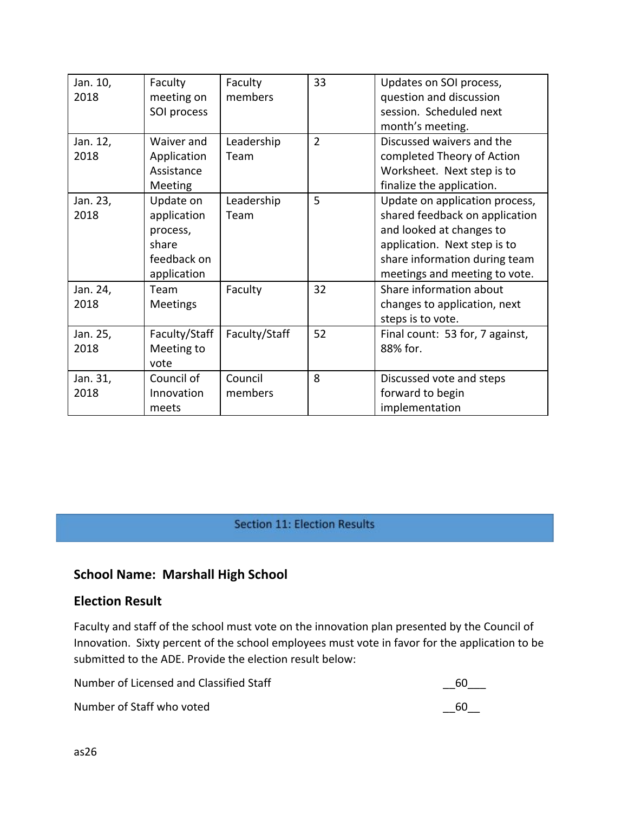| Jan. 10,<br>2018 | Faculty<br>meeting on<br>SOI process                                        | Faculty<br>members | 33             | Updates on SOI process,<br>question and discussion<br>session. Scheduled next<br>month's meeting.                                                                                              |
|------------------|-----------------------------------------------------------------------------|--------------------|----------------|------------------------------------------------------------------------------------------------------------------------------------------------------------------------------------------------|
| Jan. 12,<br>2018 | Waiver and<br>Application<br>Assistance<br><b>Meeting</b>                   | Leadership<br>Team | $\overline{2}$ | Discussed waivers and the<br>completed Theory of Action<br>Worksheet. Next step is to<br>finalize the application.                                                                             |
| Jan. 23,<br>2018 | Update on<br>application<br>process,<br>share<br>feedback on<br>application | Leadership<br>Team | 5              | Update on application process,<br>shared feedback on application<br>and looked at changes to<br>application. Next step is to<br>share information during team<br>meetings and meeting to vote. |
| Jan. 24,<br>2018 | Team<br><b>Meetings</b>                                                     | Faculty            | 32             | Share information about<br>changes to application, next<br>steps is to vote.                                                                                                                   |
| Jan. 25,<br>2018 | Faculty/Staff<br>Meeting to<br>vote                                         | Faculty/Staff      | 52             | Final count: 53 for, 7 against,<br>88% for.                                                                                                                                                    |
| Jan. 31,<br>2018 | Council of<br>Innovation<br>meets                                           | Council<br>members | 8              | Discussed vote and steps<br>forward to begin<br>implementation                                                                                                                                 |

**Section 11: Election Results** 

## **School Name: Marshall High School**

## **Election Result**

Faculty and staff of the school must vote on the innovation plan presented by the Council of Innovation. Sixty percent of the school employees must vote in favor for the application to be submitted to the ADE. Provide the election result below:

| Number of Licensed and Classified Staff | 60 |
|-----------------------------------------|----|
| Number of Staff who voted               | 60 |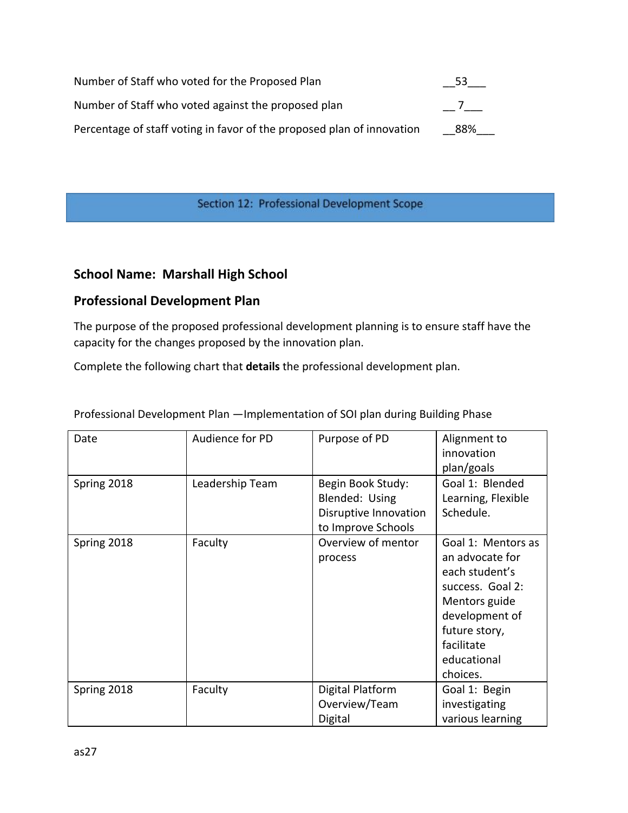| Number of Staff who voted for the Proposed Plan                        | 53  |
|------------------------------------------------------------------------|-----|
| Number of Staff who voted against the proposed plan                    |     |
| Percentage of staff voting in favor of the proposed plan of innovation | 88% |

#### Section 12: Professional Development Scope

## **School Name: Marshall High School**

## **Professional Development Plan**

The purpose of the proposed professional development planning is to ensure staff have the capacity for the changes proposed by the innovation plan.

Complete the following chart that **details** the professional development plan.

| Date        | Audience for PD | Purpose of PD                                                                      | Alignment to<br>innovation<br>plan/goals                                                                                                                                 |
|-------------|-----------------|------------------------------------------------------------------------------------|--------------------------------------------------------------------------------------------------------------------------------------------------------------------------|
| Spring 2018 | Leadership Team | Begin Book Study:<br>Blended: Using<br>Disruptive Innovation<br>to Improve Schools | Goal 1: Blended<br>Learning, Flexible<br>Schedule.                                                                                                                       |
| Spring 2018 | Faculty         | Overview of mentor<br>process                                                      | Goal 1: Mentors as<br>an advocate for<br>each student's<br>success. Goal 2:<br>Mentors guide<br>development of<br>future story,<br>facilitate<br>educational<br>choices. |
| Spring 2018 | Faculty         | Digital Platform<br>Overview/Team<br>Digital                                       | Goal 1: Begin<br>investigating<br>various learning                                                                                                                       |

Professional Development Plan —Implementation of SOI plan during Building Phase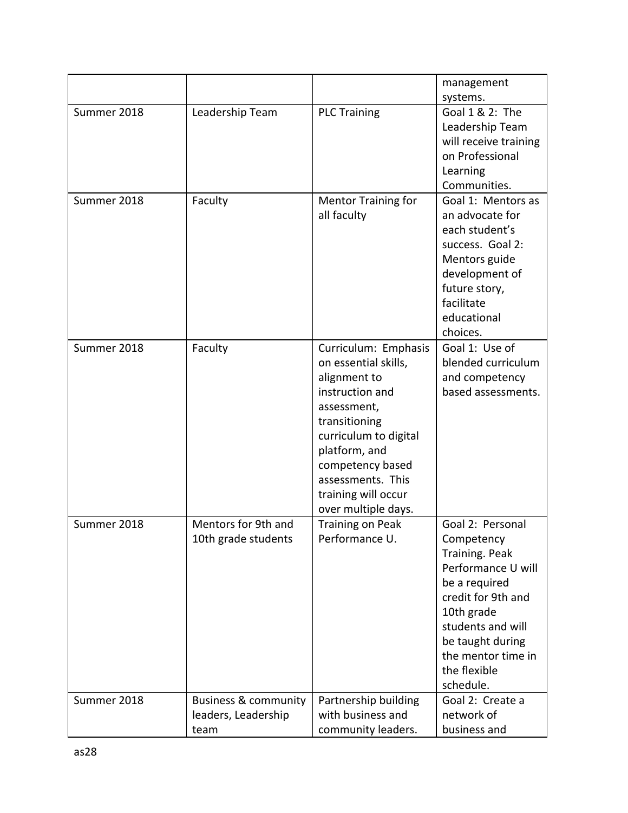|             |                                                                |                                                                                                                                                                                                                                                  | management                                                                                                                                                                                                              |
|-------------|----------------------------------------------------------------|--------------------------------------------------------------------------------------------------------------------------------------------------------------------------------------------------------------------------------------------------|-------------------------------------------------------------------------------------------------------------------------------------------------------------------------------------------------------------------------|
|             |                                                                |                                                                                                                                                                                                                                                  | systems.                                                                                                                                                                                                                |
| Summer 2018 | Leadership Team                                                | <b>PLC Training</b>                                                                                                                                                                                                                              | Goal 1 & 2: The                                                                                                                                                                                                         |
|             |                                                                |                                                                                                                                                                                                                                                  | Leadership Team                                                                                                                                                                                                         |
|             |                                                                |                                                                                                                                                                                                                                                  | will receive training                                                                                                                                                                                                   |
|             |                                                                |                                                                                                                                                                                                                                                  | on Professional                                                                                                                                                                                                         |
|             |                                                                |                                                                                                                                                                                                                                                  | Learning                                                                                                                                                                                                                |
|             |                                                                |                                                                                                                                                                                                                                                  | Communities.                                                                                                                                                                                                            |
| Summer 2018 | Faculty                                                        | <b>Mentor Training for</b><br>all faculty                                                                                                                                                                                                        | Goal 1: Mentors as<br>an advocate for<br>each student's<br>success. Goal 2:<br>Mentors guide<br>development of<br>future story,<br>facilitate<br>educational                                                            |
|             |                                                                |                                                                                                                                                                                                                                                  | choices.                                                                                                                                                                                                                |
| Summer 2018 | Faculty                                                        | Curriculum: Emphasis<br>on essential skills,<br>alignment to<br>instruction and<br>assessment,<br>transitioning<br>curriculum to digital<br>platform, and<br>competency based<br>assessments. This<br>training will occur<br>over multiple days. | Goal 1: Use of<br>blended curriculum<br>and competency<br>based assessments.                                                                                                                                            |
| Summer 2018 | Mentors for 9th and<br>10th grade students                     | Training on Peak<br>Performance U.                                                                                                                                                                                                               | Goal 2: Personal<br>Competency<br>Training. Peak<br>Performance U will<br>be a required<br>credit for 9th and<br>10th grade<br>students and will<br>be taught during<br>the mentor time in<br>the flexible<br>schedule. |
| Summer 2018 | <b>Business &amp; community</b><br>leaders, Leadership<br>team | Partnership building<br>with business and<br>community leaders.                                                                                                                                                                                  | Goal 2: Create a<br>network of<br>business and                                                                                                                                                                          |